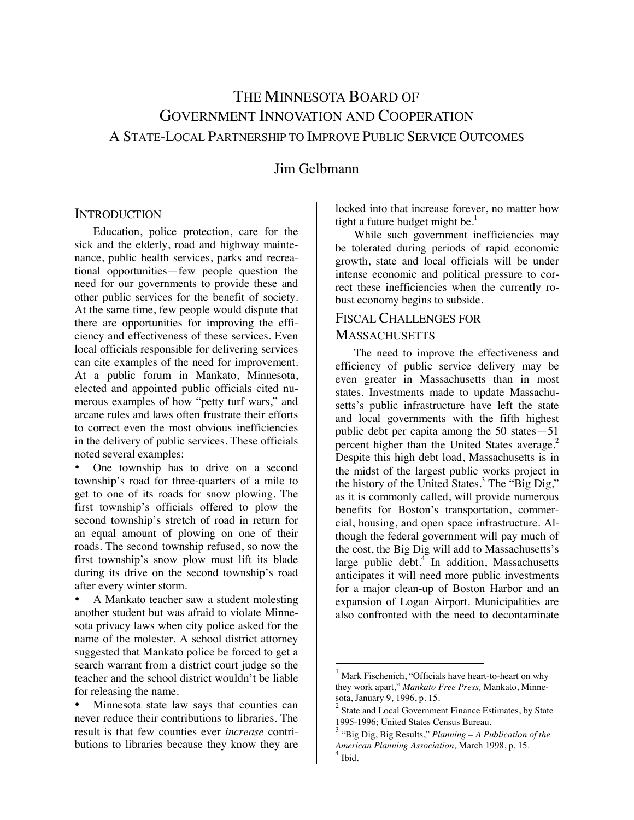# THE MINNESOTA BOARD OF GOVERNMENT INNOVATION AND COOPERATION A STATE-LOCAL PARTNERSHIP TO IMPROVE PUBLIC SERVICE OUTCOMES

# Jim Gelbmann

#### **INTRODUCTION**

Education, police protection, care for the sick and the elderly, road and highway maintenance, public health services, parks and recreational opportunities—few people question the need for our governments to provide these and other public services for the benefit of society. At the same time, few people would dispute that there are opportunities for improving the efficiency and effectiveness of these services. Even local officials responsible for delivering services can cite examples of the need for improvement. At a public forum in Mankato, Minnesota, elected and appointed public officials cited numerous examples of how "petty turf wars," and arcane rules and laws often frustrate their efforts to correct even the most obvious inefficiencies in the delivery of public services. These officials noted several examples:

• One township has to drive on a second township's road for three-quarters of a mile to get to one of its roads for snow plowing. The first township's officials offered to plow the second township's stretch of road in return for an equal amount of plowing on one of their roads. The second township refused, so now the first township's snow plow must lift its blade during its drive on the second township's road after every winter storm.

• A Mankato teacher saw a student molesting another student but was afraid to violate Minnesota privacy laws when city police asked for the name of the molester. A school district attorney suggested that Mankato police be forced to get a search warrant from a district court judge so the teacher and the school district wouldn't be liable for releasing the name.

• Minnesota state law says that counties can never reduce their contributions to libraries. The result is that few counties ever *increase* contributions to libraries because they know they are locked into that increase forever, no matter how tight a future budget might be.<sup>1</sup>

While such government inefficiencies may be tolerated during periods of rapid economic growth, state and local officials will be under intense economic and political pressure to correct these inefficiencies when the currently robust economy begins to subside.

# FISCAL CHALLENGES FOR **MASSACHUSETTS**

The need to improve the effectiveness and efficiency of public service delivery may be even greater in Massachusetts than in most states. Investments made to update Massachusetts's public infrastructure have left the state and local governments with the fifth highest public debt per capita among the 50 states—51 percent higher than the United States average.<sup>2</sup> Despite this high debt load, Massachusetts is in the midst of the largest public works project in the history of the United States.<sup>3</sup> The "Big Dig," as it is commonly called, will provide numerous benefits for Boston's transportation, commercial, housing, and open space infrastructure. Although the federal government will pay much of the cost, the Big Dig will add to Massachusetts's large public debt.<sup>4</sup> In addition, Massachusetts anticipates it will need more public investments for a major clean-up of Boston Harbor and an expansion of Logan Airport. Municipalities are also confronted with the need to decontaminate

<sup>1</sup> Mark Fischenich, "Officials have heart-to-heart on why they work apart," *Mankato Free Press,* Mankato, Minnesota, January 9, 1996, p. 15.

<sup>2</sup> State and Local Government Finance Estimates, by State 1995-1996; United States Census Bureau.

<sup>3</sup> "Big Dig, Big Results," *Planning – A Publication of the American Planning Association,* March 1998, p. 15. 4 Ibid.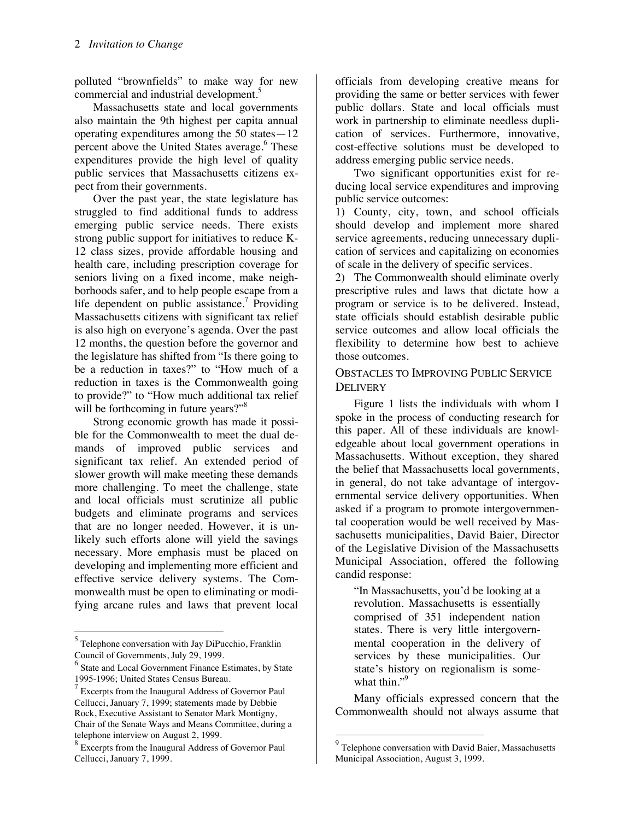polluted "brownfields" to make way for new commercial and industrial development.<sup>5</sup>

Massachusetts state and local governments also maintain the 9th highest per capita annual operating expenditures among the 50 states—12 percent above the United States average.<sup>6</sup> These expenditures provide the high level of quality public services that Massachusetts citizens expect from their governments.

Over the past year, the state legislature has struggled to find additional funds to address emerging public service needs. There exists strong public support for initiatives to reduce K-12 class sizes, provide affordable housing and health care, including prescription coverage for seniors living on a fixed income, make neighborhoods safer, and to help people escape from a life dependent on public assistance.<sup>7</sup> Providing Massachusetts citizens with significant tax relief is also high on everyone's agenda. Over the past 12 months, the question before the governor and the legislature has shifted from "Is there going to be a reduction in taxes?" to "How much of a reduction in taxes is the Commonwealth going to provide?" to "How much additional tax relief will be forthcoming in future years?"<sup>8</sup>

Strong economic growth has made it possible for the Commonwealth to meet the dual demands of improved public services and significant tax relief. An extended period of slower growth will make meeting these demands more challenging. To meet the challenge, state and local officials must scrutinize all public budgets and eliminate programs and services that are no longer needed. However, it is unlikely such efforts alone will yield the savings necessary. More emphasis must be placed on developing and implementing more efficient and effective service delivery systems. The Commonwealth must be open to eliminating or modifying arcane rules and laws that prevent local

 $\ddot{\phantom{a}}$ 

officials from developing creative means for providing the same or better services with fewer public dollars. State and local officials must work in partnership to eliminate needless duplication of services. Furthermore, innovative, cost-effective solutions must be developed to address emerging public service needs.

Two significant opportunities exist for reducing local service expenditures and improving public service outcomes:

1) County, city, town, and school officials should develop and implement more shared service agreements, reducing unnecessary duplication of services and capitalizing on economies of scale in the delivery of specific services.

2) The Commonwealth should eliminate overly prescriptive rules and laws that dictate how a program or service is to be delivered. Instead, state officials should establish desirable public service outcomes and allow local officials the flexibility to determine how best to achieve those outcomes.

### OBSTACLES TO IMPROVING PUBLIC SERVICE **DELIVERY**

Figure 1 lists the individuals with whom I spoke in the process of conducting research for this paper. All of these individuals are knowledgeable about local government operations in Massachusetts. Without exception, they shared the belief that Massachusetts local governments, in general, do not take advantage of intergovernmental service delivery opportunities. When asked if a program to promote intergovernmental cooperation would be well received by Massachusetts municipalities, David Baier, Director of the Legislative Division of the Massachusetts Municipal Association, offered the following candid response:

"In Massachusetts, you'd be looking at a revolution. Massachusetts is essentially comprised of 351 independent nation states. There is very little intergovernmental cooperation in the delivery of services by these municipalities. Our state's history on regionalism is somewhat thin." $\frac{9}{2}$ 

Many officials expressed concern that the Commonwealth should not always assume that

<sup>&</sup>lt;sup>5</sup> Telephone conversation with Jay DiPucchio, Franklin Council of Governments, July 29, 1999.

<sup>6</sup> State and Local Government Finance Estimates, by State 1995-1996; United States Census Bureau.

 $\sqrt{7}$  Excerpts from the Inaugural Address of Governor Paul Cellucci, January 7, 1999; statements made by Debbie Rock, Executive Assistant to Senator Mark Montigny, Chair of the Senate Ways and Means Committee, during a telephone interview on August 2, 1999.

<sup>&</sup>lt;sup>8</sup> Excerpts from the Inaugural Address of Governor Paul Cellucci, January 7, 1999.

<sup>&</sup>lt;sup>9</sup> Telephone conversation with David Baier, Massachusetts Municipal Association, August 3, 1999.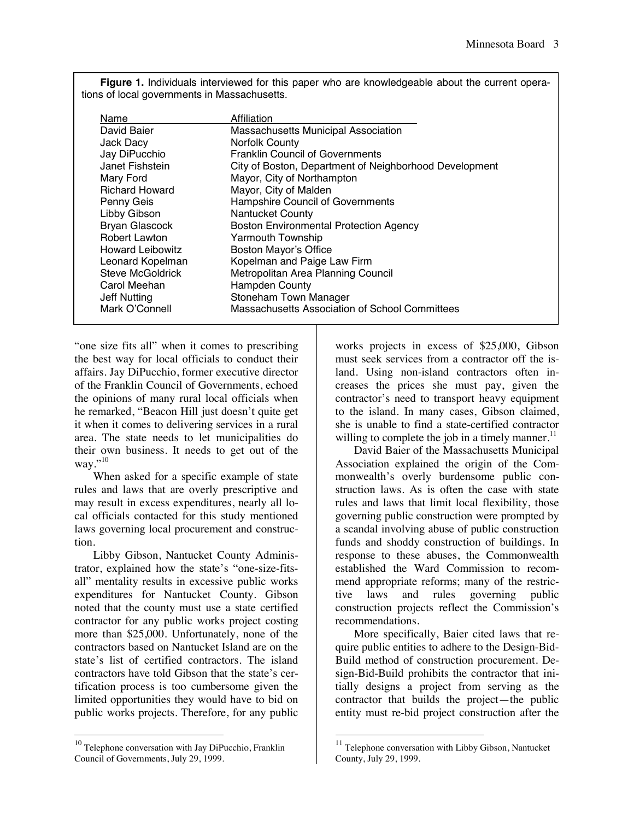**Figure 1.** Individuals interviewed for this paper who are knowledgeable about the current operations of local governments in Massachusetts.

| Name                    | Affiliation                                            |
|-------------------------|--------------------------------------------------------|
| David Baier             | Massachusetts Municipal Association                    |
| Jack Dacy               | <b>Norfolk County</b>                                  |
| Jay DiPucchio           | <b>Franklin Council of Governments</b>                 |
| Janet Fishstein         | City of Boston, Department of Neighborhood Development |
| Mary Ford               | Mayor, City of Northampton                             |
| <b>Richard Howard</b>   | Mayor, City of Malden                                  |
| Penny Geis              | Hampshire Council of Governments                       |
| Libby Gibson            | <b>Nantucket County</b>                                |
| <b>Bryan Glascock</b>   | <b>Boston Environmental Protection Agency</b>          |
| <b>Robert Lawton</b>    | Yarmouth Township                                      |
| <b>Howard Leibowitz</b> | <b>Boston Mayor's Office</b>                           |
| Leonard Kopelman        | Kopelman and Paige Law Firm                            |
| <b>Steve McGoldrick</b> | Metropolitan Area Planning Council                     |
| Carol Meehan            | <b>Hampden County</b>                                  |
| Jeff Nutting            | Stoneham Town Manager                                  |
| Mark O'Connell          | Massachusetts Association of School Committees         |

"one size fits all" when it comes to prescribing the best way for local officials to conduct their affairs. Jay DiPucchio, former executive director of the Franklin Council of Governments, echoed the opinions of many rural local officials when he remarked, "Beacon Hill just doesn't quite get it when it comes to delivering services in a rural area. The state needs to let municipalities do their own business. It needs to get out of the way." $^{10}$ 

When asked for a specific example of state rules and laws that are overly prescriptive and may result in excess expenditures, nearly all local officials contacted for this study mentioned laws governing local procurement and construction.

Libby Gibson, Nantucket County Administrator, explained how the state's "one-size-fitsall" mentality results in excessive public works expenditures for Nantucket County. Gibson noted that the county must use a state certified contractor for any public works project costing more than \$25,000. Unfortunately, none of the contractors based on Nantucket Island are on the state's list of certified contractors. The island contractors have told Gibson that the state's certification process is too cumbersome given the limited opportunities they would have to bid on public works projects. Therefore, for any public

 $\overline{a}$ 

works projects in excess of \$25,000, Gibson must seek services from a contractor off the island. Using non-island contractors often increases the prices she must pay, given the contractor's need to transport heavy equipment to the island. In many cases, Gibson claimed, she is unable to find a state-certified contractor willing to complete the job in a timely manner. $<sup>11</sup>$ </sup>

David Baier of the Massachusetts Municipal Association explained the origin of the Commonwealth's overly burdensome public construction laws. As is often the case with state rules and laws that limit local flexibility, those governing public construction were prompted by a scandal involving abuse of public construction funds and shoddy construction of buildings. In response to these abuses, the Commonwealth established the Ward Commission to recommend appropriate reforms; many of the restrictive laws and rules governing public construction projects reflect the Commission's recommendations.

More specifically, Baier cited laws that require public entities to adhere to the Design-Bid-Build method of construction procurement. Design-Bid-Build prohibits the contractor that initially designs a project from serving as the contractor that builds the project—the public entity must re-bid project construction after the

<sup>&</sup>lt;sup>10</sup> Telephone conversation with Jay DiPucchio, Franklin Council of Governments, July 29, 1999.

 $11$  Telephone conversation with Libby Gibson, Nantucket County, July 29, 1999.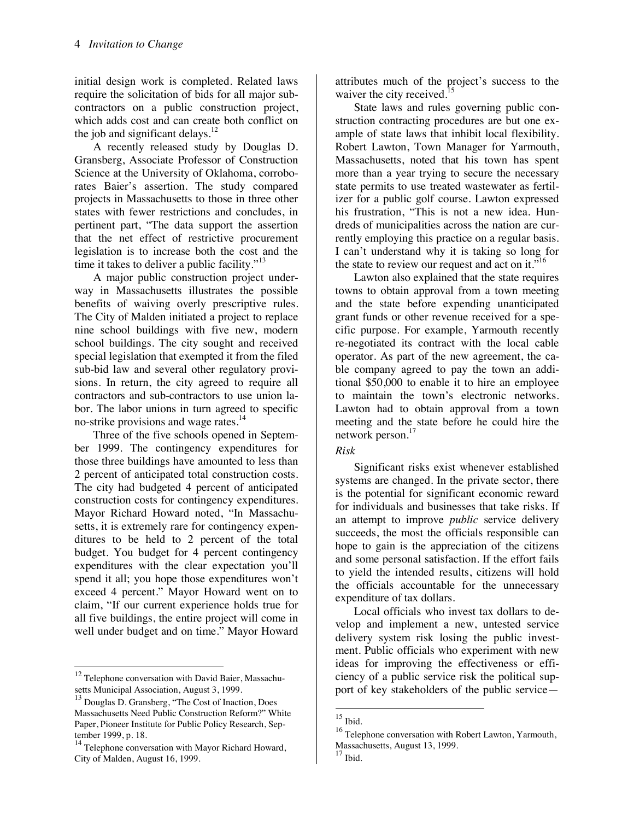initial design work is completed. Related laws require the solicitation of bids for all major subcontractors on a public construction project, which adds cost and can create both conflict on the job and significant delays. $^{12}$ 

A recently released study by Douglas D. Gransberg, Associate Professor of Construction Science at the University of Oklahoma, corroborates Baier's assertion. The study compared projects in Massachusetts to those in three other states with fewer restrictions and concludes, in pertinent part, "The data support the assertion that the net effect of restrictive procurement legislation is to increase both the cost and the time it takes to deliver a public facility."<sup>13</sup>

A major public construction project underway in Massachusetts illustrates the possible benefits of waiving overly prescriptive rules. The City of Malden initiated a project to replace nine school buildings with five new, modern school buildings. The city sought and received special legislation that exempted it from the filed sub-bid law and several other regulatory provisions. In return, the city agreed to require all contractors and sub-contractors to use union labor. The labor unions in turn agreed to specific no-strike provisions and wage rates.<sup>14</sup>

Three of the five schools opened in September 1999. The contingency expenditures for those three buildings have amounted to less than 2 percent of anticipated total construction costs. The city had budgeted 4 percent of anticipated construction costs for contingency expenditures. Mayor Richard Howard noted, "In Massachusetts, it is extremely rare for contingency expenditures to be held to 2 percent of the total budget. You budget for 4 percent contingency expenditures with the clear expectation you'll spend it all; you hope those expenditures won't exceed 4 percent." Mayor Howard went on to claim, "If our current experience holds true for all five buildings, the entire project will come in well under budget and on time." Mayor Howard

 $\ddot{\phantom{a}}$ 

attributes much of the project's success to the waiver the city received.<sup>1</sup>

State laws and rules governing public construction contracting procedures are but one example of state laws that inhibit local flexibility. Robert Lawton, Town Manager for Yarmouth, Massachusetts, noted that his town has spent more than a year trying to secure the necessary state permits to use treated wastewater as fertilizer for a public golf course. Lawton expressed his frustration, "This is not a new idea. Hundreds of municipalities across the nation are currently employing this practice on a regular basis. I can't understand why it is taking so long for the state to review our request and act on it."<sup>16</sup>

Lawton also explained that the state requires towns to obtain approval from a town meeting and the state before expending unanticipated grant funds or other revenue received for a specific purpose. For example, Yarmouth recently re-negotiated its contract with the local cable operator. As part of the new agreement, the cable company agreed to pay the town an additional \$50,000 to enable it to hire an employee to maintain the town's electronic networks. Lawton had to obtain approval from a town meeting and the state before he could hire the network person.<sup>17</sup>

#### *Risk*

Significant risks exist whenever established systems are changed. In the private sector, there is the potential for significant economic reward for individuals and businesses that take risks. If an attempt to improve *public* service delivery succeeds, the most the officials responsible can hope to gain is the appreciation of the citizens and some personal satisfaction. If the effort fails to yield the intended results, citizens will hold the officials accountable for the unnecessary expenditure of tax dollars.

Local officials who invest tax dollars to develop and implement a new, untested service delivery system risk losing the public investment. Public officials who experiment with new ideas for improving the effectiveness or efficiency of a public service risk the political support of key stakeholders of the public service—

1

 $12$  Telephone conversation with David Baier, Massachusetts Municipal Association, August 3, 1999.

<sup>13</sup> Douglas D. Gransberg, "The Cost of Inaction, Does Massachusetts Need Public Construction Reform?" White Paper, Pioneer Institute for Public Policy Research, September 1999, p. 18.

<sup>&</sup>lt;sup>14</sup> Telephone conversation with Mayor Richard Howard, City of Malden, August 16, 1999.

 $15$  Ibid.

<sup>16</sup> Telephone conversation with Robert Lawton, Yarmouth, Massachusetts, August 13, 1999.

 $17$  Ibid.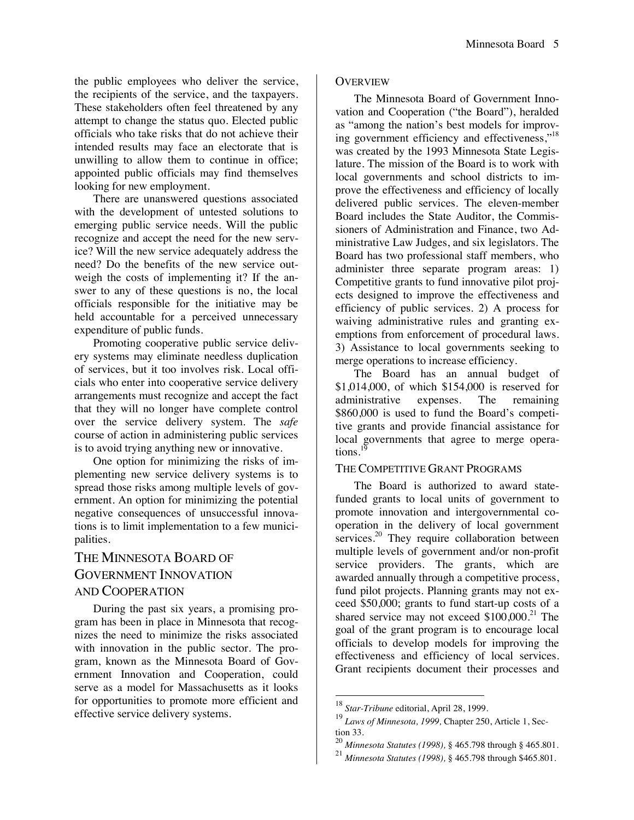the public employees who deliver the service, the recipients of the service, and the taxpayers. These stakeholders often feel threatened by any attempt to change the status quo. Elected public officials who take risks that do not achieve their intended results may face an electorate that is unwilling to allow them to continue in office; appointed public officials may find themselves looking for new employment.

There are unanswered questions associated with the development of untested solutions to emerging public service needs. Will the public recognize and accept the need for the new service? Will the new service adequately address the need? Do the benefits of the new service outweigh the costs of implementing it? If the answer to any of these questions is no, the local officials responsible for the initiative may be held accountable for a perceived unnecessary expenditure of public funds.

Promoting cooperative public service delivery systems may eliminate needless duplication of services, but it too involves risk. Local officials who enter into cooperative service delivery arrangements must recognize and accept the fact that they will no longer have complete control over the service delivery system. The *safe* course of action in administering public services is to avoid trying anything new or innovative.

One option for minimizing the risks of implementing new service delivery systems is to spread those risks among multiple levels of government. An option for minimizing the potential negative consequences of unsuccessful innovations is to limit implementation to a few municipalities.

# THE MINNESOTA BOARD OF GOVERNMENT INNOVATION AND COOPERATION

During the past six years, a promising program has been in place in Minnesota that recognizes the need to minimize the risks associated with innovation in the public sector. The program, known as the Minnesota Board of Government Innovation and Cooperation, could serve as a model for Massachusetts as it looks for opportunities to promote more efficient and effective service delivery systems.

#### **OVERVIEW**

The Minnesota Board of Government Innovation and Cooperation ("the Board"), heralded as "among the nation's best models for improving government efficiency and effectiveness, $"^{18}$ was created by the 1993 Minnesota State Legislature. The mission of the Board is to work with local governments and school districts to improve the effectiveness and efficiency of locally delivered public services. The eleven-member Board includes the State Auditor, the Commissioners of Administration and Finance, two Administrative Law Judges, and six legislators. The Board has two professional staff members, who administer three separate program areas: 1) Competitive grants to fund innovative pilot projects designed to improve the effectiveness and efficiency of public services. 2) A process for waiving administrative rules and granting exemptions from enforcement of procedural laws. 3) Assistance to local governments seeking to merge operations to increase efficiency.

The Board has an annual budget of \$1,014,000, of which \$154,000 is reserved for administrative expenses. The remaining \$860,000 is used to fund the Board's competitive grants and provide financial assistance for local governments that agree to merge operations. $<sup>1</sup>$ </sup>

#### THE COMPETITIVE GRANT PROGRAMS

The Board is authorized to award statefunded grants to local units of government to promote innovation and intergovernmental cooperation in the delivery of local government services.<sup>20</sup> They require collaboration between multiple levels of government and/or non-profit service providers. The grants, which are awarded annually through a competitive process, fund pilot projects. Planning grants may not exceed \$50,000; grants to fund start-up costs of a shared service may not exceed  $$100,000.<sup>21</sup>$  The goal of the grant program is to encourage local officials to develop models for improving the effectiveness and efficiency of local services. Grant recipients document their processes and

<sup>18</sup> *Star-Tribune* editorial, April 28, 1999.

<sup>19</sup> *Laws of Minnesota, 1999,* Chapter 250, Article 1, Section 33.

<sup>20</sup> *Minnesota Statutes (1998),* § 465.798 through § 465.801.

<sup>21</sup> *Minnesota Statutes (1998),* § 465.798 through \$465.801.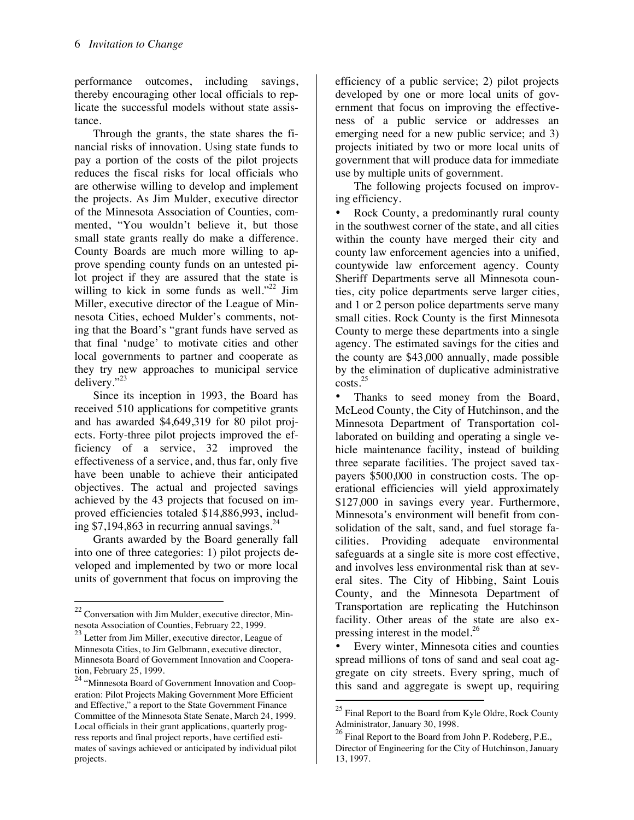performance outcomes, including savings, thereby encouraging other local officials to replicate the successful models without state assistance.

Through the grants, the state shares the financial risks of innovation. Using state funds to pay a portion of the costs of the pilot projects reduces the fiscal risks for local officials who are otherwise willing to develop and implement the projects. As Jim Mulder, executive director of the Minnesota Association of Counties, commented, "You wouldn't believe it, but those small state grants really do make a difference. County Boards are much more willing to approve spending county funds on an untested pilot project if they are assured that the state is willing to kick in some funds as well." $^{22}$  Jim Miller, executive director of the League of Minnesota Cities, echoed Mulder's comments, noting that the Board's "grant funds have served as that final 'nudge' to motivate cities and other local governments to partner and cooperate as they try new approaches to municipal service delivery."<sup>23</sup>

Since its inception in 1993, the Board has received 510 applications for competitive grants and has awarded \$4,649,319 for 80 pilot projects. Forty-three pilot projects improved the efficiency of a service, 32 improved the effectiveness of a service, and, thus far, only five have been unable to achieve their anticipated objectives. The actual and projected savings achieved by the 43 projects that focused on improved efficiencies totaled \$14,886,993, including \$7,194,863 in recurring annual savings. $^{24}$ 

Grants awarded by the Board generally fall into one of three categories: 1) pilot projects developed and implemented by two or more local units of government that focus on improving the

1

efficiency of a public service; 2) pilot projects developed by one or more local units of government that focus on improving the effectiveness of a public service or addresses an emerging need for a new public service; and 3) projects initiated by two or more local units of government that will produce data for immediate use by multiple units of government.

The following projects focused on improving efficiency.

Rock County, a predominantly rural county in the southwest corner of the state, and all cities within the county have merged their city and county law enforcement agencies into a unified, countywide law enforcement agency. County Sheriff Departments serve all Minnesota counties, city police departments serve larger cities, and 1 or 2 person police departments serve many small cities. Rock County is the first Minnesota County to merge these departments into a single agency. The estimated savings for the cities and the county are \$43,000 annually, made possible by the elimination of duplicative administrative  $\csc^{25}$ 

Thanks to seed money from the Board, McLeod County, the City of Hutchinson, and the Minnesota Department of Transportation collaborated on building and operating a single vehicle maintenance facility, instead of building three separate facilities. The project saved taxpayers \$500,000 in construction costs. The operational efficiencies will yield approximately \$127,000 in savings every year. Furthermore, Minnesota's environment will benefit from consolidation of the salt, sand, and fuel storage facilities. Providing adequate environmental safeguards at a single site is more cost effective, and involves less environmental risk than at several sites. The City of Hibbing, Saint Louis County, and the Minnesota Department of Transportation are replicating the Hutchinson facility. Other areas of the state are also expressing interest in the model.<sup>26</sup>

• Every winter, Minnesota cities and counties spread millions of tons of sand and seal coat aggregate on city streets. Every spring, much of this sand and aggregate is swept up, requiring

 $\ddot{\phantom{a}}$ 

 $22$  Conversation with Jim Mulder, executive director, Minnesota Association of Counties, February 22, 1999.

<sup>&</sup>lt;sup>23</sup> Letter from Jim Miller, executive director, League of Minnesota Cities, to Jim Gelbmann, executive director, Minnesota Board of Government Innovation and Cooperation, February 25, 1999.

<sup>&</sup>lt;sup>24</sup> "Minnesota Board of Government Innovation and Cooperation: Pilot Projects Making Government More Efficient and Effective," a report to the State Government Finance Committee of the Minnesota State Senate, March 24, 1999. Local officials in their grant applications, quarterly progress reports and final project reports, have certified estimates of savings achieved or anticipated by individual pilot projects.

 $^{25}$  Final Report to the Board from Kyle Oldre, Rock County Administrator, January 30, 1998.

<sup>26</sup> Final Report to the Board from John P. Rodeberg, P.E., Director of Engineering for the City of Hutchinson, January 13, 1997.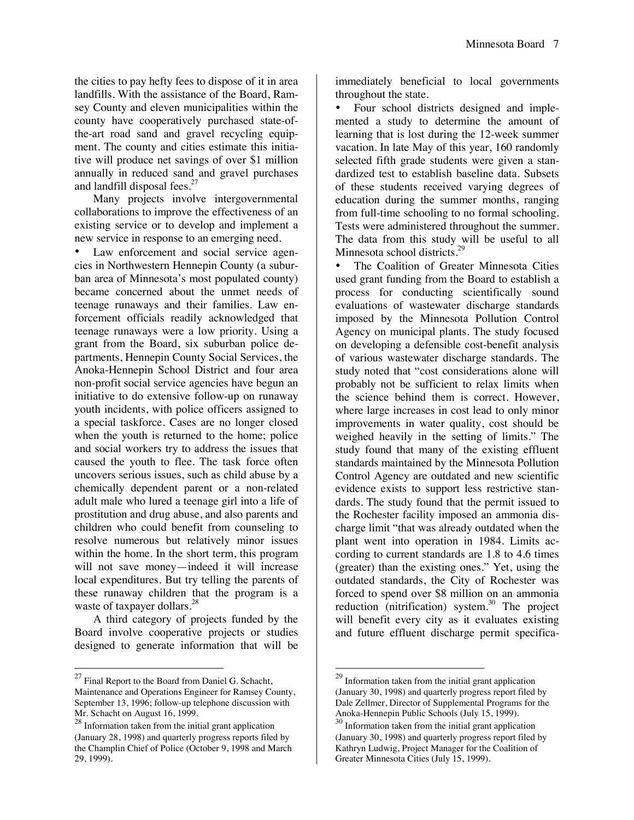the cities to pay hefty fees to dispose of it in area landfills. With the assistance of the Board, Ramsey County and eleven municipalities within the county have cooperatively purchased state-ofthe-art road sand and gravel recycling equipment. The county and cities estimate this initiative will produce net savings of over \$1 million annually in reduced sand and gravel purchases and landfill disposal fees.<sup>27</sup>

Many projects involve intergovernmental collaborations to improve the effectiveness of an existing service or to develop and implement a new service in response to an emerging need.

Law enforcement and social service agencies in Northwestern Hennepin County (a suburban area of Minnesota's most populated county) became concerned about the unmet needs of teenage runaways and their families. Law enforcement officials readily acknowledged that teenage runaways were a low priority. Using a grant from the Board, six suburban police departments, Hennepin County Social Services, the Anoka-Hennepin School District and four area non-profit social service agencies have begun an initiative to do extensive follow-up on runaway youth incidents, with police officers assigned to a special taskforce. Cases are no longer closed when the youth is returned to the home; police and social workers try to address the issues that caused the youth to flee. The task force often uncovers serious issues, such as child abuse by a chemically dependent parent or a non-related adult male who lured a teenage girl into a life of prostitution and drug abuse, and also parents and children who could benefit from counseling to resolve numerous but relatively minor issues within the home. In the short term, this program will not save money—indeed it will increase local expenditures. But try telling the parents of these runaway children that the program is a waste of taxpayer dollars.<sup>28</sup>

A third category of projects funded by the Board involve cooperative projects or studies designed to generate information that will be

1

immediately beneficial to local governments throughout the state.

• Four school districts designed and implemented a study to determine the amount of learning that is lost during the 12-week summer vacation. In late May of this year, 160 randomly selected fifth grade students were given a standardized test to establish baseline data. Subsets of these students received varying degrees of education during the summer months, ranging from full-time schooling to no formal schooling. Tests were administered throughout the summer. The data from this study will be useful to all Minnesota school districts.<sup>29</sup>

• The Coalition of Greater Minnesota Cities used grant funding from the Board to establish a process for conducting scientifically sound evaluations of wastewater discharge standards imposed by the Minnesota Pollution Control Agency on municipal plants. The study focused on developing a defensible cost-benefit analysis of various wastewater discharge standards. The study noted that "cost considerations alone will probably not be sufficient to relax limits when the science behind them is correct. However, where large increases in cost lead to only minor improvements in water quality, cost should be weighed heavily in the setting of limits." The study found that many of the existing effluent standards maintained by the Minnesota Pollution Control Agency are outdated and new scientific evidence exists to support less restrictive standards. The study found that the permit issued to the Rochester facility imposed an ammonia discharge limit "that was already outdated when the plant went into operation in 1984. Limits according to current standards are 1.8 to 4.6 times (greater) than the existing ones." Yet, using the outdated standards, the City of Rochester was forced to spend over \$8 million on an ammonia reduction  $(nitrification)$  system.<sup>30</sup> The project will benefit every city as it evaluates existing and future effluent discharge permit specifica-

 $^{27}$  Final Report to the Board from Daniel G. Schacht, Maintenance and Operations Engineer for Ramsey County, September 13, 1996; follow-up telephone discussion with Mr. Schacht on August 16, 1999.

 $28 \text{ Information taken from the initial grant application.}$ (January 28, 1998) and quarterly progress reports filed by the Champlin Chief of Police (October 9, 1998 and March 29, 1999).

<sup>29</sup> Information taken from the initial grant application (January 30, 1998) and quarterly progress report filed by Dale Zellmer, Director of Supplemental Programs for the Anoka-Hennepin Public Schools (July 15, 1999).

 $30$  Information taken from the initial grant application (January 30, 1998) and quarterly progress report filed by Kathryn Ludwig, Project Manager for the Coalition of Greater Minnesota Cities (July 15, 1999).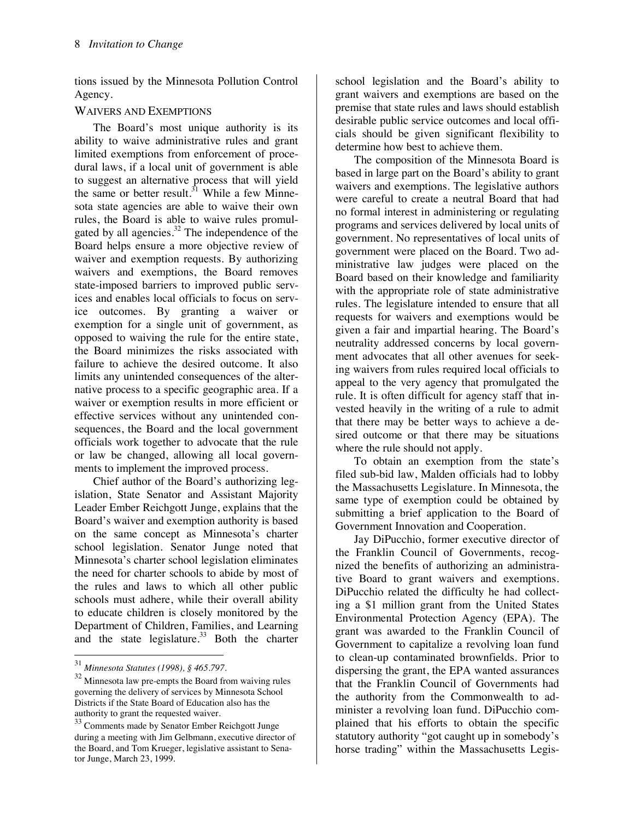tions issued by the Minnesota Pollution Control Agency.

### WAIVERS AND EXEMPTIONS

The Board's most unique authority is its ability to waive administrative rules and grant limited exemptions from enforcement of procedural laws, if a local unit of government is able to suggest an alternative process that will yield the same or better result.<sup>31</sup> While a few Minnesota state agencies are able to waive their own rules, the Board is able to waive rules promulgated by all agencies. $32$  The independence of the Board helps ensure a more objective review of waiver and exemption requests. By authorizing waivers and exemptions, the Board removes state-imposed barriers to improved public services and enables local officials to focus on service outcomes. By granting a waiver or exemption for a single unit of government, as opposed to waiving the rule for the entire state, the Board minimizes the risks associated with failure to achieve the desired outcome. It also limits any unintended consequences of the alternative process to a specific geographic area. If a waiver or exemption results in more efficient or effective services without any unintended consequences, the Board and the local government officials work together to advocate that the rule or law be changed, allowing all local governments to implement the improved process.

Chief author of the Board's authorizing legislation, State Senator and Assistant Majority Leader Ember Reichgott Junge, explains that the Board's waiver and exemption authority is based on the same concept as Minnesota's charter school legislation. Senator Junge noted that Minnesota's charter school legislation eliminates the need for charter schools to abide by most of the rules and laws to which all other public schools must adhere, while their overall ability to educate children is closely monitored by the Department of Children, Families, and Learning and the state legislature.<sup>33</sup> Both the charter

1

school legislation and the Board's ability to grant waivers and exemptions are based on the premise that state rules and laws should establish desirable public service outcomes and local officials should be given significant flexibility to determine how best to achieve them.

The composition of the Minnesota Board is based in large part on the Board's ability to grant waivers and exemptions. The legislative authors were careful to create a neutral Board that had no formal interest in administering or regulating programs and services delivered by local units of government. No representatives of local units of government were placed on the Board. Two administrative law judges were placed on the Board based on their knowledge and familiarity with the appropriate role of state administrative rules. The legislature intended to ensure that all requests for waivers and exemptions would be given a fair and impartial hearing. The Board's neutrality addressed concerns by local government advocates that all other avenues for seeking waivers from rules required local officials to appeal to the very agency that promulgated the rule. It is often difficult for agency staff that invested heavily in the writing of a rule to admit that there may be better ways to achieve a desired outcome or that there may be situations where the rule should not apply.

To obtain an exemption from the state's filed sub-bid law, Malden officials had to lobby the Massachusetts Legislature. In Minnesota, the same type of exemption could be obtained by submitting a brief application to the Board of Government Innovation and Cooperation.

Jay DiPucchio, former executive director of the Franklin Council of Governments, recognized the benefits of authorizing an administrative Board to grant waivers and exemptions. DiPucchio related the difficulty he had collecting a \$1 million grant from the United States Environmental Protection Agency (EPA). The grant was awarded to the Franklin Council of Government to capitalize a revolving loan fund to clean-up contaminated brownfields. Prior to dispersing the grant, the EPA wanted assurances that the Franklin Council of Governments had the authority from the Commonwealth to administer a revolving loan fund. DiPucchio complained that his efforts to obtain the specific statutory authority "got caught up in somebody's horse trading" within the Massachusetts Legis-

<sup>31</sup> *Minnesota Statutes (1998), § 465.797.*

<sup>32</sup> Minnesota law pre-empts the Board from waiving rules governing the delivery of services by Minnesota School Districts if the State Board of Education also has the authority to grant the requested waiver.

 $\frac{33}{33}$  Comments made by Senator Ember Reichgott Junge during a meeting with Jim Gelbmann, executive director of the Board, and Tom Krueger, legislative assistant to Senator Junge, March 23, 1999.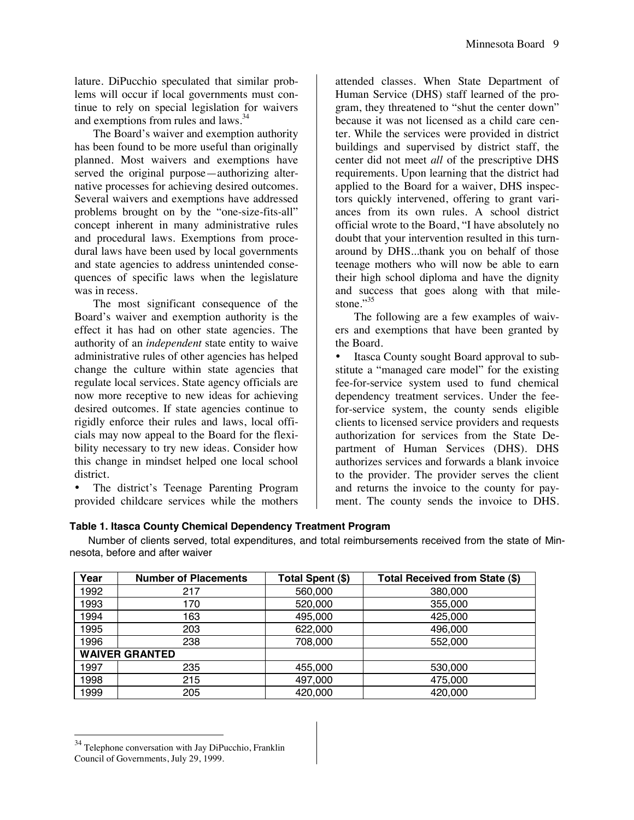lature. DiPucchio speculated that similar problems will occur if local governments must continue to rely on special legislation for waivers and exemptions from rules and laws.<sup>34</sup>

The Board's waiver and exemption authority has been found to be more useful than originally planned. Most waivers and exemptions have served the original purpose—authorizing alternative processes for achieving desired outcomes. Several waivers and exemptions have addressed problems brought on by the "one-size-fits-all" concept inherent in many administrative rules and procedural laws. Exemptions from procedural laws have been used by local governments and state agencies to address unintended consequences of specific laws when the legislature was in recess.

The most significant consequence of the Board's waiver and exemption authority is the effect it has had on other state agencies. The authority of an *independent* state entity to waive administrative rules of other agencies has helped change the culture within state agencies that regulate local services. State agency officials are now more receptive to new ideas for achieving desired outcomes. If state agencies continue to rigidly enforce their rules and laws, local officials may now appeal to the Board for the flexibility necessary to try new ideas. Consider how this change in mindset helped one local school district.

• The district's Teenage Parenting Program provided childcare services while the mothers

attended classes. When State Department of Human Service (DHS) staff learned of the program, they threatened to "shut the center down" because it was not licensed as a child care center. While the services were provided in district buildings and supervised by district staff, the center did not meet *all* of the prescriptive DHS requirements. Upon learning that the district had applied to the Board for a waiver, DHS inspectors quickly intervened, offering to grant variances from its own rules. A school district official wrote to the Board, "I have absolutely no doubt that your intervention resulted in this turnaround by DHS...thank you on behalf of those teenage mothers who will now be able to earn their high school diploma and have the dignity and success that goes along with that milestone." $35$ 

The following are a few examples of waivers and exemptions that have been granted by the Board.

• Itasca County sought Board approval to substitute a "managed care model" for the existing fee-for-service system used to fund chemical dependency treatment services. Under the feefor-service system, the county sends eligible clients to licensed service providers and requests authorization for services from the State Department of Human Services (DHS). DHS authorizes services and forwards a blank invoice to the provider. The provider serves the client and returns the invoice to the county for payment. The county sends the invoice to DHS.

#### **Table 1. Itasca County Chemical Dependency Treatment Program**

Number of clients served, total expenditures, and total reimbursements received from the state of Minnesota, before and after waiver

| Year                  | <b>Number of Placements</b> | Total Spent (\$) | Total Received from State (\$) |
|-----------------------|-----------------------------|------------------|--------------------------------|
| 1992                  | 217                         | 560,000          | 380,000                        |
| 1993                  | 170                         | 520,000          | 355,000                        |
| 1994                  | 163                         | 495,000          | 425,000                        |
| 1995                  | 203                         | 622,000          | 496,000                        |
| 1996                  | 238                         | 708,000          | 552,000                        |
| <b>WAIVER GRANTED</b> |                             |                  |                                |
| 1997                  | 235                         | 455,000          | 530,000                        |
| 1998                  | 215                         | 497,000          | 475,000                        |
| 1999                  | 205                         | 420,000          | 420,000                        |

<sup>&</sup>lt;sup>34</sup> Telephone conversation with Jay DiPucchio, Franklin Council of Governments, July 29, 1999.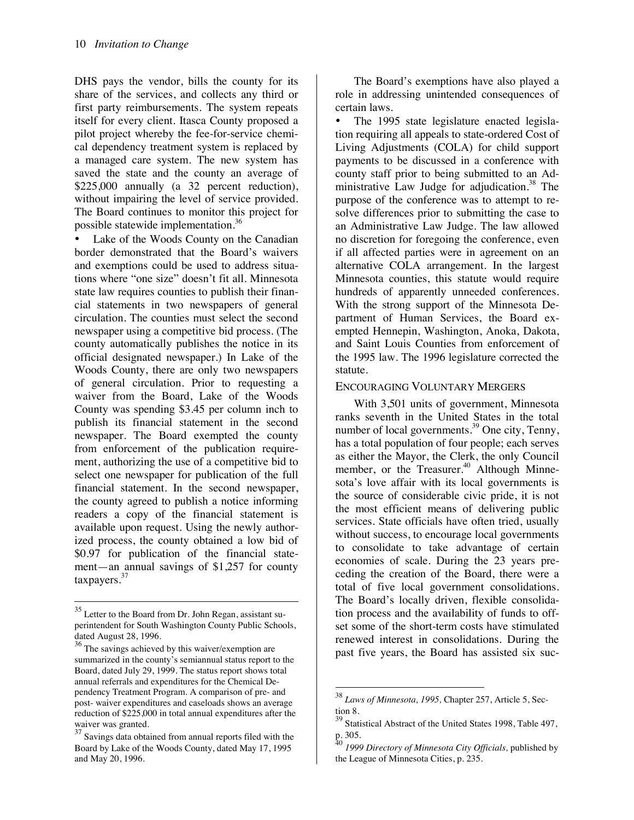DHS pays the vendor, bills the county for its share of the services, and collects any third or first party reimbursements. The system repeats itself for every client. Itasca County proposed a pilot project whereby the fee-for-service chemical dependency treatment system is replaced by a managed care system. The new system has saved the state and the county an average of \$225,000 annually (a 32 percent reduction), without impairing the level of service provided. The Board continues to monitor this project for possible statewide implementation.36

Lake of the Woods County on the Canadian border demonstrated that the Board's waivers and exemptions could be used to address situations where "one size" doesn't fit all. Minnesota state law requires counties to publish their financial statements in two newspapers of general circulation. The counties must select the second newspaper using a competitive bid process. (The county automatically publishes the notice in its official designated newspaper.) In Lake of the Woods County, there are only two newspapers of general circulation. Prior to requesting a waiver from the Board, Lake of the Woods County was spending \$3.45 per column inch to publish its financial statement in the second newspaper. The Board exempted the county from enforcement of the publication requirement, authorizing the use of a competitive bid to select one newspaper for publication of the full financial statement. In the second newspaper, the county agreed to publish a notice informing readers a copy of the financial statement is available upon request. Using the newly authorized process, the county obtained a low bid of \$0.97 for publication of the financial statement—an annual savings of \$1,257 for county taxpayers.37

1

The Board's exemptions have also played a role in addressing unintended consequences of certain laws.

• The 1995 state legislature enacted legislation requiring all appeals to state-ordered Cost of Living Adjustments (COLA) for child support payments to be discussed in a conference with county staff prior to being submitted to an Administrative Law Judge for adjudication.<sup>38</sup> The purpose of the conference was to attempt to resolve differences prior to submitting the case to an Administrative Law Judge. The law allowed no discretion for foregoing the conference, even if all affected parties were in agreement on an alternative COLA arrangement. In the largest Minnesota counties, this statute would require hundreds of apparently unneeded conferences. With the strong support of the Minnesota Department of Human Services, the Board exempted Hennepin, Washington, Anoka, Dakota, and Saint Louis Counties from enforcement of the 1995 law. The 1996 legislature corrected the statute.

#### ENCOURAGING VOLUNTARY MERGERS

With 3,501 units of government, Minnesota ranks seventh in the United States in the total number of local governments.<sup>39</sup> One city, Tenny, has a total population of four people; each serves as either the Mayor, the Clerk, the only Council member, or the Treasurer.<sup>40</sup> Although Minnesota's love affair with its local governments is the source of considerable civic pride, it is not the most efficient means of delivering public services. State officials have often tried, usually without success, to encourage local governments to consolidate to take advantage of certain economies of scale. During the 23 years preceding the creation of the Board, there were a total of five local government consolidations. The Board's locally driven, flexible consolidation process and the availability of funds to offset some of the short-term costs have stimulated renewed interest in consolidations. During the past five years, the Board has assisted six suc-

 $\ddot{\phantom{a}}$ 

<sup>&</sup>lt;sup>35</sup> Letter to the Board from Dr. John Regan, assistant superintendent for South Washington County Public Schools, dated August 28, 1996.

<sup>&</sup>lt;sup>36</sup> The savings achieved by this waiver/exemption are summarized in the county's semiannual status report to the Board, dated July 29, 1999. The status report shows total annual referrals and expenditures for the Chemical Dependency Treatment Program. A comparison of pre- and post- waiver expenditures and caseloads shows an average reduction of \$225,000 in total annual expenditures after the waiver was granted.

 $\frac{37}{37}$  Savings data obtained from annual reports filed with the Board by Lake of the Woods County, dated May 17, 1995 and May 20, 1996.

<sup>38</sup> *Laws of Minnesota, 1995,* Chapter 257, Article 5, Section 8.

Statistical Abstract of the United States 1998, Table 497, p. 305.

<sup>40</sup> *1999 Directory of Minnesota City Officials,* published by the League of Minnesota Cities, p. 235.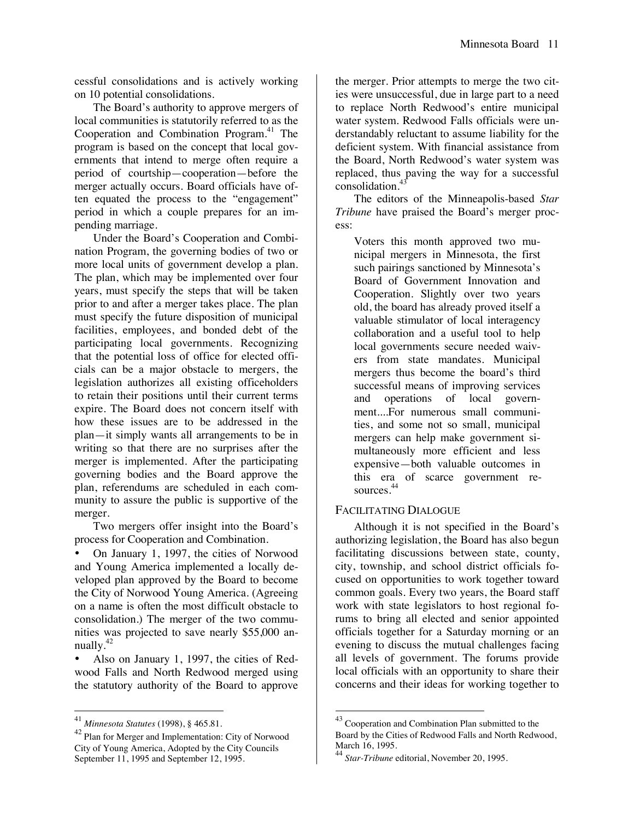cessful consolidations and is actively working on 10 potential consolidations.

The Board's authority to approve mergers of local communities is statutorily referred to as the Cooperation and Combination Program.<sup>41</sup> The program is based on the concept that local governments that intend to merge often require a period of courtship—cooperation—before the merger actually occurs. Board officials have often equated the process to the "engagement" period in which a couple prepares for an impending marriage.

Under the Board's Cooperation and Combination Program, the governing bodies of two or more local units of government develop a plan. The plan, which may be implemented over four years, must specify the steps that will be taken prior to and after a merger takes place. The plan must specify the future disposition of municipal facilities, employees, and bonded debt of the participating local governments. Recognizing that the potential loss of office for elected officials can be a major obstacle to mergers, the legislation authorizes all existing officeholders to retain their positions until their current terms expire. The Board does not concern itself with how these issues are to be addressed in the plan—it simply wants all arrangements to be in writing so that there are no surprises after the merger is implemented. After the participating governing bodies and the Board approve the plan, referendums are scheduled in each community to assure the public is supportive of the merger.

Two mergers offer insight into the Board's process for Cooperation and Combination.

• On January 1, 1997, the cities of Norwood and Young America implemented a locally developed plan approved by the Board to become the City of Norwood Young America. (Agreeing on a name is often the most difficult obstacle to consolidation.) The merger of the two communities was projected to save nearly \$55,000 annually.42

• Also on January 1, 1997, the cities of Redwood Falls and North Redwood merged using the statutory authority of the Board to approve

 $\overline{a}$ 

the merger. Prior attempts to merge the two cities were unsuccessful, due in large part to a need to replace North Redwood's entire municipal water system. Redwood Falls officials were understandably reluctant to assume liability for the deficient system. With financial assistance from the Board, North Redwood's water system was replaced, thus paving the way for a successful consolidation.43

The editors of the Minneapolis-based *Star Tribune* have praised the Board's merger process:

Voters this month approved two municipal mergers in Minnesota, the first such pairings sanctioned by Minnesota's Board of Government Innovation and Cooperation. Slightly over two years old, the board has already proved itself a valuable stimulator of local interagency collaboration and a useful tool to help local governments secure needed waivers from state mandates. Municipal mergers thus become the board's third successful means of improving services and operations of local government....For numerous small communities, and some not so small, municipal mergers can help make government simultaneously more efficient and less expensive—both valuable outcomes in this era of scarce government resources. 44

#### FACILITATING DIALOGUE

Although it is not specified in the Board's authorizing legislation, the Board has also begun facilitating discussions between state, county, city, township, and school district officials focused on opportunities to work together toward common goals. Every two years, the Board staff work with state legislators to host regional forums to bring all elected and senior appointed officials together for a Saturday morning or an evening to discuss the mutual challenges facing all levels of government. The forums provide local officials with an opportunity to share their concerns and their ideas for working together to

<sup>41</sup> *Minnesota Statutes* (1998), § 465.81.

<sup>42</sup> Plan for Merger and Implementation: City of Norwood City of Young America, Adopted by the City Councils September 11, 1995 and September 12, 1995.

 $43$  Cooperation and Combination Plan submitted to the Board by the Cities of Redwood Falls and North Redwood, March 16, 1995.

<sup>44</sup> *Star-Tribune* editorial, November 20, 1995.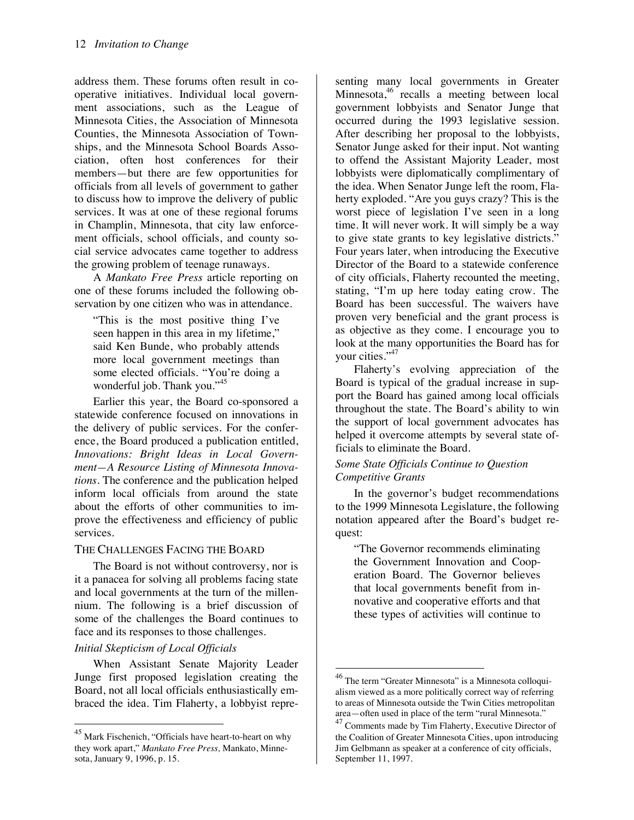address them. These forums often result in cooperative initiatives. Individual local government associations, such as the League of Minnesota Cities, the Association of Minnesota Counties, the Minnesota Association of Townships, and the Minnesota School Boards Association, often host conferences for their members—but there are few opportunities for officials from all levels of government to gather to discuss how to improve the delivery of public services. It was at one of these regional forums in Champlin, Minnesota, that city law enforcement officials, school officials, and county social service advocates came together to address the growing problem of teenage runaways.

A *Mankato Free Press* article reporting on one of these forums included the following observation by one citizen who was in attendance.

"This is the most positive thing I've seen happen in this area in my lifetime," said Ken Bunde, who probably attends more local government meetings than some elected officials. "You're doing a wonderful job. Thank you."<sup>45</sup>

Earlier this year, the Board co-sponsored a statewide conference focused on innovations in the delivery of public services. For the conference, the Board produced a publication entitled, *Innovations: Bright Ideas in Local Government—A Resource Listing of Minnesota Innovations.* The conference and the publication helped inform local officials from around the state about the efforts of other communities to improve the effectiveness and efficiency of public services.

#### THE CHALLENGES FACING THE BOARD

The Board is not without controversy, nor is it a panacea for solving all problems facing state and local governments at the turn of the millennium. The following is a brief discussion of some of the challenges the Board continues to face and its responses to those challenges.

#### *Initial Skepticism of Local Officials*

1

When Assistant Senate Majority Leader Junge first proposed legislation creating the Board, not all local officials enthusiastically embraced the idea. Tim Flaherty, a lobbyist repre-

senting many local governments in Greater Minnesota, $46$  recalls a meeting between local government lobbyists and Senator Junge that occurred during the 1993 legislative session. After describing her proposal to the lobbyists, Senator Junge asked for their input. Not wanting to offend the Assistant Majority Leader, most lobbyists were diplomatically complimentary of the idea. When Senator Junge left the room, Flaherty exploded. "Are you guys crazy? This is the worst piece of legislation I've seen in a long time. It will never work. It will simply be a way to give state grants to key legislative districts." Four years later, when introducing the Executive Director of the Board to a statewide conference of city officials, Flaherty recounted the meeting, stating, "I'm up here today eating crow. The Board has been successful. The waivers have proven very beneficial and the grant process is as objective as they come. I encourage you to look at the many opportunities the Board has for your cities."<sup>47</sup>

Flaherty's evolving appreciation of the Board is typical of the gradual increase in support the Board has gained among local officials throughout the state. The Board's ability to win the support of local government advocates has helped it overcome attempts by several state officials to eliminate the Board.

### *Some State Officials Continue to Question Competitive Grants*

In the governor's budget recommendations to the 1999 Minnesota Legislature, the following notation appeared after the Board's budget request:

"The Governor recommends eliminating the Government Innovation and Cooperation Board. The Governor believes that local governments benefit from innovative and cooperative efforts and that these types of activities will continue to

1

<sup>&</sup>lt;sup>45</sup> Mark Fischenich, "Officials have heart-to-heart on why they work apart," *Mankato Free Press,* Mankato, Minnesota, January 9, 1996, p. 15.

<sup>&</sup>lt;sup>46</sup> The term "Greater Minnesota" is a Minnesota colloquialism viewed as a more politically correct way of referring to areas of Minnesota outside the Twin Cities metropolitan area—often used in place of the term "rural Minnesota."

 $47^{\frac{47}{\sqrt{11}}}$  Comments made by Tim Flaherty, Executive Director of the Coalition of Greater Minnesota Cities, upon introducing Jim Gelbmann as speaker at a conference of city officials, September 11, 1997.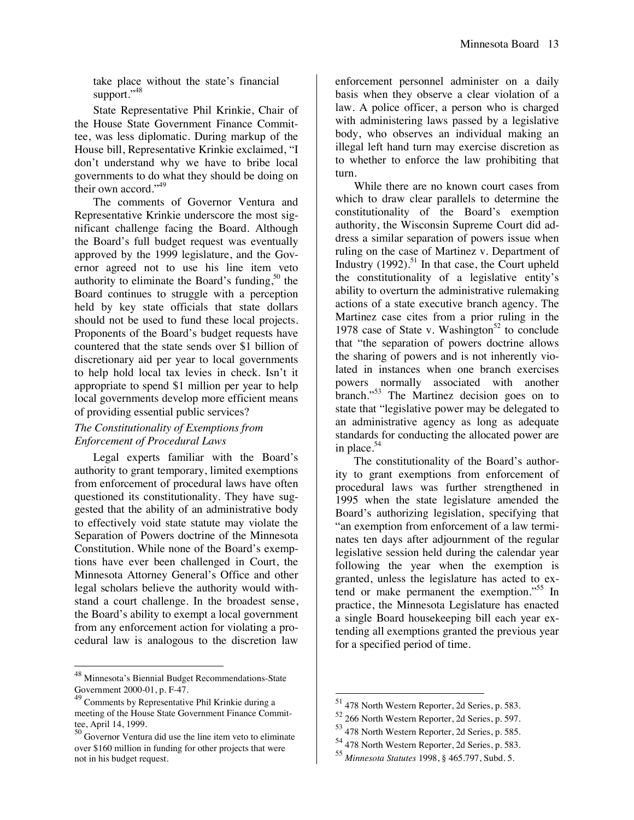take place without the state's financial support."48

State Representative Phil Krinkie, Chair of the House State Government Finance Committee, was less diplomatic. During markup of the House bill, Representative Krinkie exclaimed, "I don't understand why we have to bribe local governments to do what they should be doing on their own accord."<sup>49</sup>

The comments of Governor Ventura and Representative Krinkie underscore the most significant challenge facing the Board. Although the Board's full budget request was eventually approved by the 1999 legislature, and the Governor agreed not to use his line item veto authority to eliminate the Board's funding,  $50$  the Board continues to struggle with a perception held by key state officials that state dollars should not be used to fund these local projects. Proponents of the Board's budget requests have countered that the state sends over \$1 billion of discretionary aid per year to local governments to help hold local tax levies in check. Isn't it appropriate to spend \$1 million per year to help local governments develop more efficient means of providing essential public services?

#### *The Constitutionality of Exemptions from Enforcement of Procedural Laws*

Legal experts familiar with the Board's authority to grant temporary, limited exemptions from enforcement of procedural laws have often questioned its constitutionality. They have suggested that the ability of an administrative body to effectively void state statute may violate the Separation of Powers doctrine of the Minnesota Constitution. While none of the Board's exemptions have ever been challenged in Court, the Minnesota Attorney General's Office and other legal scholars believe the authority would withstand a court challenge. In the broadest sense, the Board's ability to exempt a local government from any enforcement action for violating a procedural law is analogous to the discretion law

 $\ddot{\phantom{a}}$ 

enforcement personnel administer on a daily basis when they observe a clear violation of a law. A police officer, a person who is charged with administering laws passed by a legislative body, who observes an individual making an illegal left hand turn may exercise discretion as to whether to enforce the law prohibiting that turn.

While there are no known court cases from which to draw clear parallels to determine the constitutionality of the Board's exemption authority, the Wisconsin Supreme Court did address a similar separation of powers issue when ruling on the case of Martinez v. Department of Industry  $(1992)$ .<sup>51</sup> In that case, the Court upheld the constitutionality of a legislative entity's ability to overturn the administrative rulemaking actions of a state executive branch agency. The Martinez case cites from a prior ruling in the 1978 case of State v. Washington<sup>52</sup> to conclude that "the separation of powers doctrine allows the sharing of powers and is not inherently violated in instances when one branch exercises powers normally associated with another branch."<sup>53</sup> The Martinez decision goes on to state that "legislative power may be delegated to an administrative agency as long as adequate standards for conducting the allocated power are in place. $54$ 

The constitutionality of the Board's authority to grant exemptions from enforcement of procedural laws was further strengthened in 1995 when the state legislature amended the Board's authorizing legislation, specifying that "an exemption from enforcement of a law terminates ten days after adjournment of the regular legislative session held during the calendar year following the year when the exemption is granted, unless the legislature has acted to extend or make permanent the exemption.<sup>55</sup> In practice, the Minnesota Legislature has enacted a single Board housekeeping bill each year extending all exemptions granted the previous year for a specified period of time.

1

<sup>&</sup>lt;sup>48</sup> Minnesota's Biennial Budget Recommendations-State Government 2000-01, p. F-47.

<sup>49</sup> Comments by Representative Phil Krinkie during a meeting of the House State Government Finance Committee, April 14, 1999.

 $\frac{50}{50}$  Governor Ventura did use the line item veto to eliminate over \$160 million in funding for other projects that were not in his budget request.

<sup>&</sup>lt;sup>51</sup> 478 North Western Reporter, 2d Series, p. 583.

<sup>52 266</sup> North Western Reporter, 2d Series, p. 597.

<sup>53 478</sup> North Western Reporter, 2d Series, p. 585.

<sup>54 478</sup> North Western Reporter, 2d Series, p. 583.

<sup>55</sup> *Minnesota Statutes* 1998, § 465.797, Subd. 5.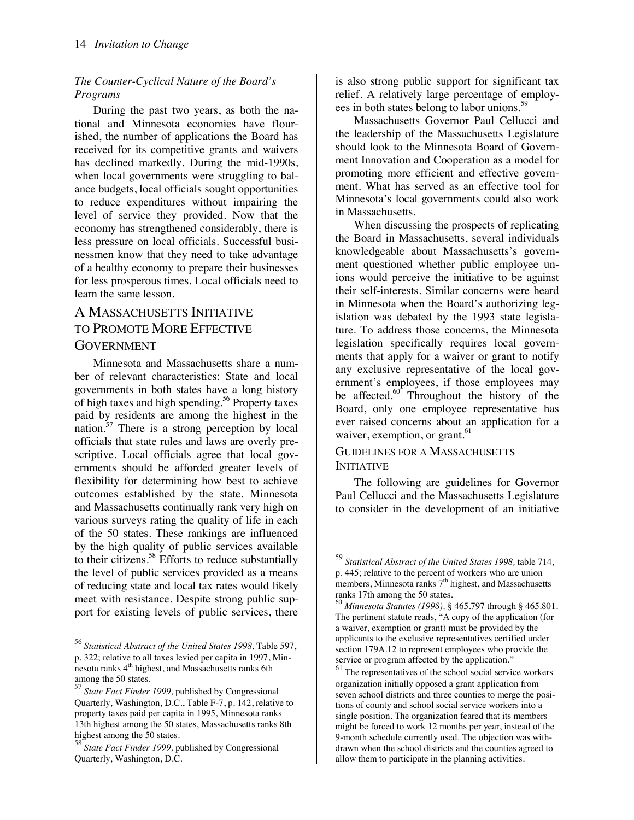### *The Counter-Cyclical Nature of the Board's Programs*

During the past two years, as both the national and Minnesota economies have flourished, the number of applications the Board has received for its competitive grants and waivers has declined markedly. During the mid-1990s, when local governments were struggling to balance budgets, local officials sought opportunities to reduce expenditures without impairing the level of service they provided. Now that the economy has strengthened considerably, there is less pressure on local officials. Successful businessmen know that they need to take advantage of a healthy economy to prepare their businesses for less prosperous times. Local officials need to learn the same lesson.

# A MASSACHUSETTS INITIATIVE TO PROMOTE MORE EFFECTIVE **GOVERNMENT**

Minnesota and Massachusetts share a number of relevant characteristics: State and local governments in both states have a long history of high taxes and high spending.<sup>56</sup> Property taxes paid by residents are among the highest in the nation.<sup>57</sup> There is a strong perception by local officials that state rules and laws are overly prescriptive. Local officials agree that local governments should be afforded greater levels of flexibility for determining how best to achieve outcomes established by the state. Minnesota and Massachusetts continually rank very high on various surveys rating the quality of life in each of the 50 states. These rankings are influenced by the high quality of public services available to their citizens.58 Efforts to reduce substantially the level of public services provided as a means of reducing state and local tax rates would likely meet with resistance. Despite strong public support for existing levels of public services, there

1

is also strong public support for significant tax relief. A relatively large percentage of employees in both states belong to labor unions.<sup>59</sup>

Massachusetts Governor Paul Cellucci and the leadership of the Massachusetts Legislature should look to the Minnesota Board of Government Innovation and Cooperation as a model for promoting more efficient and effective government. What has served as an effective tool for Minnesota's local governments could also work in Massachusetts.

When discussing the prospects of replicating the Board in Massachusetts, several individuals knowledgeable about Massachusetts's government questioned whether public employee unions would perceive the initiative to be against their self-interests. Similar concerns were heard in Minnesota when the Board's authorizing legislation was debated by the 1993 state legislature. To address those concerns, the Minnesota legislation specifically requires local governments that apply for a waiver or grant to notify any exclusive representative of the local government's employees, if those employees may be affected. $60^{\circ}$  Throughout the history of the Board, only one employee representative has ever raised concerns about an application for a waiver, exemption, or grant.<sup>61</sup>

### GUIDELINES FOR A MASSACHUSETTS INITIATIVE

1

The following are guidelines for Governor Paul Cellucci and the Massachusetts Legislature to consider in the development of an initiative

<sup>56</sup> *Statistical Abstract of the United States 1998,* Table 597, p. 322; relative to all taxes levied per capita in 1997, Minnesota ranks 4<sup>th</sup> highest, and Massachusetts ranks 6th among the 50 states.

<sup>57</sup> *State Fact Finder 1999,* published by Congressional Quarterly, Washington, D.C., Table F-7, p. 142, relative to property taxes paid per capita in 1995, Minnesota ranks 13th highest among the 50 states, Massachusetts ranks 8th highest among the 50 states.

<sup>58</sup> *State Fact Finder 1999,* published by Congressional Quarterly, Washington, D.C.

<sup>59</sup> *Statistical Abstract of the United States 1998,* table 714, p. 445; relative to the percent of workers who are union members, Minnesota ranks  $7<sup>th</sup>$  highest, and Massachusetts ranks 17th among the 50 states.

<sup>60</sup> *Minnesota Statutes (1998),* § 465.797 through § 465.801. The pertinent statute reads, "A copy of the application (for a waiver, exemption or grant) must be provided by the applicants to the exclusive representatives certified under section 179A.12 to represent employees who provide the service or program affected by the application."

 $61$  The representatives of the school social service workers organization initially opposed a grant application from seven school districts and three counties to merge the positions of county and school social service workers into a single position. The organization feared that its members might be forced to work 12 months per year, instead of the 9-month schedule currently used. The objection was withdrawn when the school districts and the counties agreed to allow them to participate in the planning activities.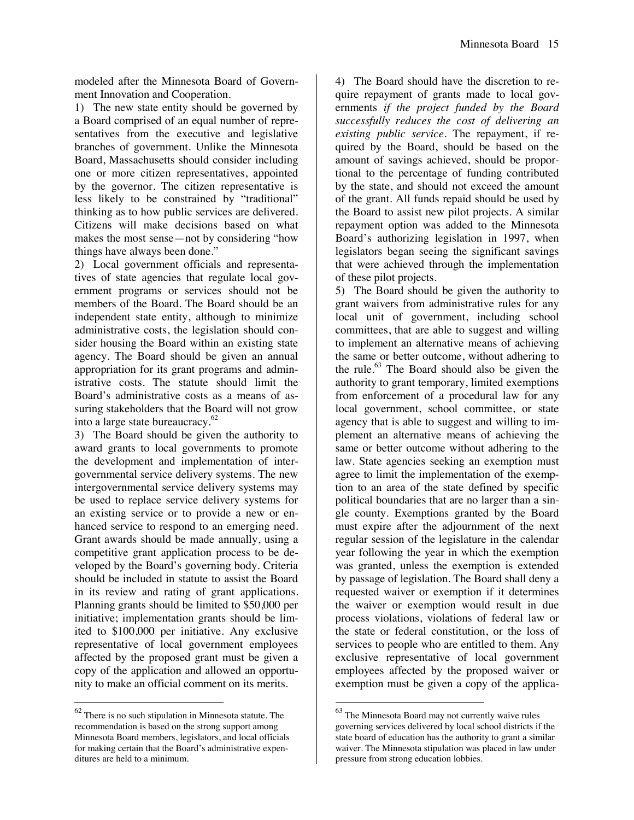modeled after the Minnesota Board of Government Innovation and Cooperation.

1) The new state entity should be governed by a Board comprised of an equal number of representatives from the executive and legislative branches of government. Unlike the Minnesota Board, Massachusetts should consider including one or more citizen representatives, appointed by the governor. The citizen representative is less likely to be constrained by "traditional" thinking as to how public services are delivered. Citizens will make decisions based on what makes the most sense—not by considering "how things have always been done."

2) Local government officials and representatives of state agencies that regulate local government programs or services should not be members of the Board. The Board should be an independent state entity, although to minimize administrative costs, the legislation should consider housing the Board within an existing state agency. The Board should be given an annual appropriation for its grant programs and administrative costs. The statute should limit the Board's administrative costs as a means of assuring stakeholders that the Board will not grow into a large state bureaucracy. $62$ 

3) The Board should be given the authority to award grants to local governments to promote the development and implementation of intergovernmental service delivery systems. The new intergovernmental service delivery systems may be used to replace service delivery systems for an existing service or to provide a new or enhanced service to respond to an emerging need. Grant awards should be made annually, using a competitive grant application process to be developed by the Board's governing body. Criteria should be included in statute to assist the Board in its review and rating of grant applications. Planning grants should be limited to \$50,000 per initiative; implementation grants should be limited to \$100,000 per initiative. Any exclusive representative of local government employees affected by the proposed grant must be given a copy of the application and allowed an opportunity to make an official comment on its merits.

 $62$  There is no such stipulation in Minnesota statute. The recommendation is based on the strong support among Minnesota Board members, legislators, and local officials for making certain that the Board's administrative expenditures are held to a minimum.

 $\ddot{\phantom{a}}$ 

4) The Board should have the discretion to require repayment of grants made to local governments *if the project funded by the Board successfully reduces the cost of delivering an existing public service.* The repayment, if required by the Board, should be based on the amount of savings achieved, should be proportional to the percentage of funding contributed by the state, and should not exceed the amount of the grant. All funds repaid should be used by the Board to assist new pilot projects. A similar repayment option was added to the Minnesota Board's authorizing legislation in 1997, when legislators began seeing the significant savings that were achieved through the implementation of these pilot projects.

5) The Board should be given the authority to grant waivers from administrative rules for any local unit of government, including school committees, that are able to suggest and willing to implement an alternative means of achieving the same or better outcome, without adhering to the rule. $63$  The Board should also be given the authority to grant temporary, limited exemptions from enforcement of a procedural law for any local government, school committee, or state agency that is able to suggest and willing to implement an alternative means of achieving the same or better outcome without adhering to the law. State agencies seeking an exemption must agree to limit the implementation of the exemption to an area of the state defined by specific political boundaries that are no larger than a single county. Exemptions granted by the Board must expire after the adjournment of the next regular session of the legislature in the calendar year following the year in which the exemption was granted, unless the exemption is extended by passage of legislation. The Board shall deny a requested waiver or exemption if it determines the waiver or exemption would result in due process violations, violations of federal law or the state or federal constitution, or the loss of services to people who are entitled to them. Any exclusive representative of local government employees affected by the proposed waiver or exemption must be given a copy of the applica-

 $\ddot{\phantom{a}}$ 

 $63$  The Minnesota Board may not currently waive rules governing services delivered by local school districts if the state board of education has the authority to grant a similar waiver. The Minnesota stipulation was placed in law under pressure from strong education lobbies.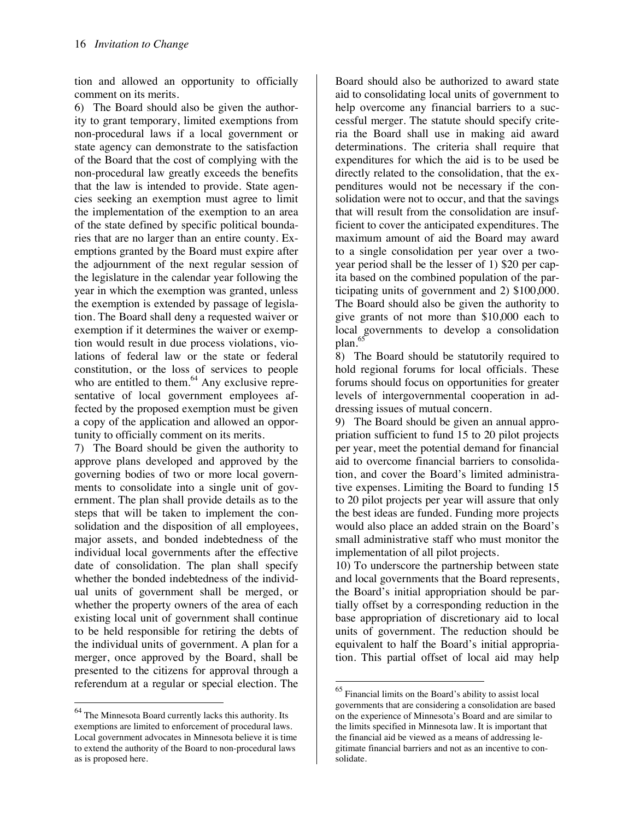tion and allowed an opportunity to officially comment on its merits.

6) The Board should also be given the authority to grant temporary, limited exemptions from non-procedural laws if a local government or state agency can demonstrate to the satisfaction of the Board that the cost of complying with the non-procedural law greatly exceeds the benefits that the law is intended to provide. State agencies seeking an exemption must agree to limit the implementation of the exemption to an area of the state defined by specific political boundaries that are no larger than an entire county. Exemptions granted by the Board must expire after the adjournment of the next regular session of the legislature in the calendar year following the year in which the exemption was granted, unless the exemption is extended by passage of legislation. The Board shall deny a requested waiver or exemption if it determines the waiver or exemption would result in due process violations, violations of federal law or the state or federal constitution, or the loss of services to people who are entitled to them. $<sup>64</sup>$  Any exclusive repre-</sup> sentative of local government employees affected by the proposed exemption must be given a copy of the application and allowed an opportunity to officially comment on its merits.

7) The Board should be given the authority to approve plans developed and approved by the governing bodies of two or more local governments to consolidate into a single unit of government. The plan shall provide details as to the steps that will be taken to implement the consolidation and the disposition of all employees, major assets, and bonded indebtedness of the individual local governments after the effective date of consolidation. The plan shall specify whether the bonded indebtedness of the individual units of government shall be merged, or whether the property owners of the area of each existing local unit of government shall continue to be held responsible for retiring the debts of the individual units of government. A plan for a merger, once approved by the Board, shall be presented to the citizens for approval through a referendum at a regular or special election. The

 $\ddot{\phantom{a}}$ 

Board should also be authorized to award state aid to consolidating local units of government to help overcome any financial barriers to a successful merger. The statute should specify criteria the Board shall use in making aid award determinations. The criteria shall require that expenditures for which the aid is to be used be directly related to the consolidation, that the expenditures would not be necessary if the consolidation were not to occur, and that the savings that will result from the consolidation are insufficient to cover the anticipated expenditures. The maximum amount of aid the Board may award to a single consolidation per year over a twoyear period shall be the lesser of 1) \$20 per capita based on the combined population of the participating units of government and 2) \$100,000. The Board should also be given the authority to give grants of not more than \$10,000 each to local governments to develop a consolidation plan.<sup>65</sup>

8) The Board should be statutorily required to hold regional forums for local officials. These forums should focus on opportunities for greater levels of intergovernmental cooperation in addressing issues of mutual concern.

9) The Board should be given an annual appropriation sufficient to fund 15 to 20 pilot projects per year, meet the potential demand for financial aid to overcome financial barriers to consolidation, and cover the Board's limited administrative expenses. Limiting the Board to funding 15 to 20 pilot projects per year will assure that only the best ideas are funded. Funding more projects would also place an added strain on the Board's small administrative staff who must monitor the implementation of all pilot projects.

10) To underscore the partnership between state and local governments that the Board represents, the Board's initial appropriation should be partially offset by a corresponding reduction in the base appropriation of discretionary aid to local units of government. The reduction should be equivalent to half the Board's initial appropriation. This partial offset of local aid may help

<sup>&</sup>lt;sup>64</sup> The Minnesota Board currently lacks this authority. Its exemptions are limited to enforcement of procedural laws. Local government advocates in Minnesota believe it is time to extend the authority of the Board to non-procedural laws as is proposed here.

<sup>65</sup> Financial limits on the Board's ability to assist local governments that are considering a consolidation are based on the experience of Minnesota's Board and are similar to the limits specified in Minnesota law. It is important that the financial aid be viewed as a means of addressing legitimate financial barriers and not as an incentive to consolidate.